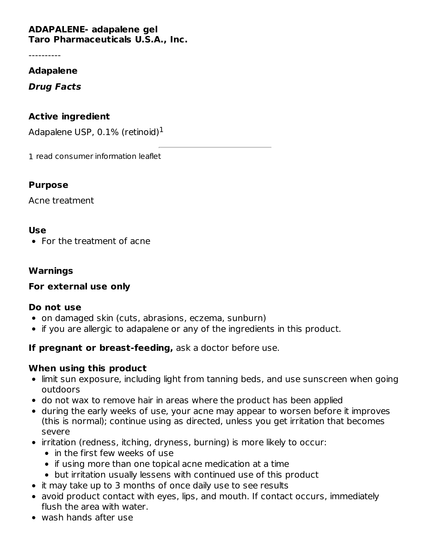# **ADAPALENE- adapalene gel**

**Taro Pharmaceuticals U.S.A., Inc.**

----------

#### **Adapalene**

**Drug Facts**

### **Active ingredient**

Adapalene USP, 0.1% (retinoid) $^1$ 

1 read consumer information leaflet

### **Purpose**

Acne treatment

### **Use**

• For the treatment of acne

#### **Warnings**

### **For external use only**

### **Do not use**

- on damaged skin (cuts, abrasions, eczema, sunburn)
- if you are allergic to adapalene or any of the ingredients in this product.

### **If pregnant or breast-feeding,** ask a doctor before use.

### **When using this product**

- limit sun exposure, including light from tanning beds, and use sunscreen when going outdoors
- do not wax to remove hair in areas where the product has been applied
- during the early weeks of use, your acne may appear to worsen before it improves (this is normal); continue using as directed, unless you get irritation that becomes severe
- irritation (redness, itching, dryness, burning) is more likely to occur:
	- in the first few weeks of use
	- if using more than one topical acne medication at a time
	- but irritation usually lessens with continued use of this product
- it may take up to 3 months of once daily use to see results
- avoid product contact with eyes, lips, and mouth. If contact occurs, immediately flush the area with water.
- wash hands after use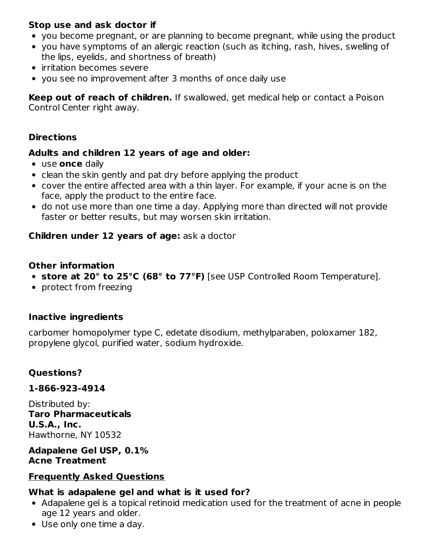### **Stop use and ask doctor if**

- you become pregnant, or are planning to become pregnant, while using the product
- you have symptoms of an allergic reaction (such as itching, rash, hives, swelling of the lips, eyelids, and shortness of breath)
- irritation becomes severe
- you see no improvement after 3 months of once daily use

**Keep out of reach of children.** If swallowed, get medical help or contact a Poison Control Center right away.

### **Directions**

### **Adults and children 12 years of age and older:**

- use **once** daily
- clean the skin gently and pat dry before applying the product
- cover the entire affected area with a thin layer. For example, if your acne is on the face, apply the product to the entire face.
- do not use more than one time a day. Applying more than directed will not provide faster or better results, but may worsen skin irritation.

### **Children under 12 years of age:** ask a doctor

### **Other information**

- **store at 20° to 25°C (68° to 77°F)** [see USP Controlled Room Temperature].
- protect from freezing

### **Inactive ingredients**

carbomer homopolymer type C, edetate disodium, methylparaben, poloxamer 182, propylene glycol, purified water, sodium hydroxide.

### **Questions?**

### **1-866-923-4914**

Distributed by: **Taro Pharmaceuticals U.S.A., Inc.** Hawthorne, NY 10532

### **Adapalene Gel USP, 0.1% Acne Treatment**

### **Frequently Asked Questions**

### **What is adapalene gel and what is it used for?**

- Adapalene gel is a topical retinoid medication used for the treatment of acne in people age 12 years and older.
- Use only one time a day.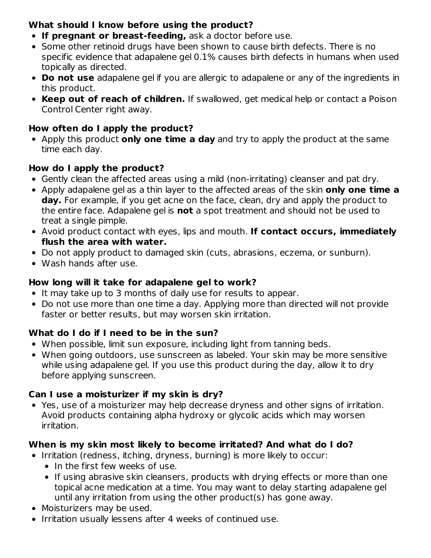# **What should I know before using the product?**

- **If pregnant or breast-feeding,** ask a doctor before use.
- Some other retinoid drugs have been shown to cause birth defects. There is no specific evidence that adapalene gel 0.1% causes birth defects in humans when used topically as directed.
- **Do not use** adapalene gel if you are allergic to adapalene or any of the ingredients in this product.
- **Keep out of reach of children.** If swallowed, get medical help or contact a Poison Control Center right away.

### **How often do I apply the product?**

Apply this product **only one time a day** and try to apply the product at the same time each day.

## **How do I apply the product?**

- Gently clean the affected areas using a mild (non-irritating) cleanser and pat dry.
- Apply adapalene gel as a thin layer to the affected areas of the skin **only one time a day.** For example, if you get acne on the face, clean, dry and apply the product to the entire face. Adapalene gel is **not** a spot treatment and should not be used to treat a single pimple.
- Avoid product contact with eyes, lips and mouth. **If contact occurs, immediately flush the area with water.**
- Do not apply product to damaged skin (cuts, abrasions, eczema, or sunburn).
- Wash hands after use.

### **How long will it take for adapalene gel to work?**

- It may take up to 3 months of daily use for results to appear.
- Do not use more than one time a day. Applying more than directed will not provide faster or better results, but may worsen skin irritation.

# **What do I do if I need to be in the sun?**

- When possible, limit sun exposure, including light from tanning beds.
- When going outdoors, use sunscreen as labeled. Your skin may be more sensitive while using adapalene gel. If you use this product during the day, allow it to dry before applying sunscreen.

### **Can I use a moisturizer if my skin is dry?**

Yes, use of a moisturizer may help decrease dryness and other signs of irritation. Avoid products containing alpha hydroxy or glycolic acids which may worsen irritation.

# **When is my skin most likely to become irritated? And what do I do?**

- Irritation (redness, itching, dryness, burning) is more likely to occur:
	- In the first few weeks of use.
	- If using abrasive skin cleansers, products with drying effects or more than one topical acne medication at a time. You may want to delay starting adapalene gel until any irritation from using the other product(s) has gone away.
- Moisturizers may be used.
- Irritation usually lessens after 4 weeks of continued use.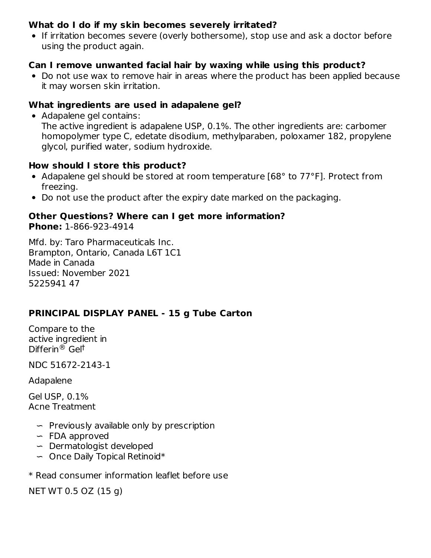### **What do I do if my skin becomes severely irritated?**

If irritation becomes severe (overly bothersome), stop use and ask a doctor before using the product again.

### **Can I remove unwanted facial hair by waxing while using this product?**

• Do not use wax to remove hair in areas where the product has been applied because it may worsen skin irritation.

#### **What ingredients are used in adapalene gel?**

Adapalene gel contains: The active ingredient is adapalene USP, 0.1%. The other ingredients are: carbomer homopolymer type C, edetate disodium, methylparaben, poloxamer 182, propylene glycol, purified water, sodium hydroxide.

#### **How should I store this product?**

- Adapalene gel should be stored at room temperature [68° to 77°F]. Protect from freezing.
- Do not use the product after the expiry date marked on the packaging.

#### **Other Questions? Where can I get more information? Phone:** 1-866-923-4914

Mfd. by: Taro Pharmaceuticals Inc. Brampton, Ontario, Canada L6T 1C1 Made in Canada Issued: November 2021 5225941 47

### **PRINCIPAL DISPLAY PANEL - 15 g Tube Carton**

Compare to the active ingredient in Differin<sup>®</sup> Gel<sup>†</sup>

NDC 51672-2143-1

Adapalene

Gel USP, 0.1% Acne Treatment

- ∽ Previously available only by prescription
- ∽ FDA approved
- ∽ Dermatologist developed
- ∽ Once Daily Topical Retinoid\*
- \* Read consumer information leaflet before use

NET WT 0.5 OZ (15 g)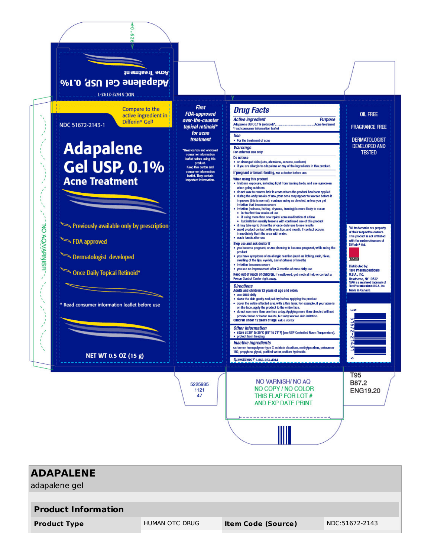

| <b>ADAPALENE</b><br>adapalene gel |                       |                           |                |  |
|-----------------------------------|-----------------------|---------------------------|----------------|--|
| <b>Product Information</b>        |                       |                           |                |  |
| <b>Product Type</b>               | <b>HUMAN OTC DRUG</b> | <b>Item Code (Source)</b> | NDC:51672-2143 |  |